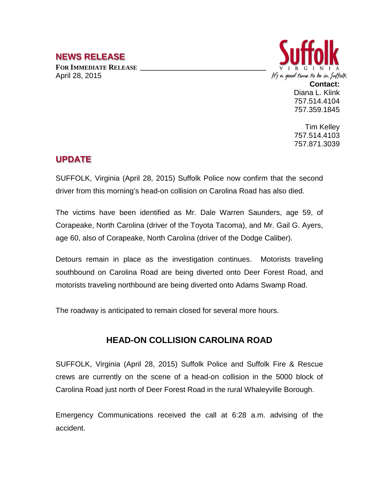## **NEWS RELEASE**

FOR **IMMEDIATE RELEASE** April 28, 2015



**Contact:** Diana L. Klink 757.514.4104 757.359.1845

Tim Kelley 757.514.4103 757.871.3039

## **UPDATE**

SUFFOLK, Virginia (April 28, 2015) Suffolk Police now confirm that the second driver from this morning's head-on collision on Carolina Road has also died.

The victims have been identified as Mr. Dale Warren Saunders, age 59, of Corapeake, North Carolina (driver of the Toyota Tacoma), and Mr. Gail G. Ayers, age 60, also of Corapeake, North Carolina (driver of the Dodge Caliber).

Detours remain in place as the investigation continues. Motorists traveling southbound on Carolina Road are being diverted onto Deer Forest Road, and motorists traveling northbound are being diverted onto Adams Swamp Road.

The roadway is anticipated to remain closed for several more hours.

## **HEAD-ON COLLISION CAROLINA ROAD**

SUFFOLK, Virginia (April 28, 2015) Suffolk Police and Suffolk Fire & Rescue crews are currently on the scene of a head-on collision in the 5000 block of Carolina Road just north of Deer Forest Road in the rural Whaleyville Borough.

Emergency Communications received the call at 6:28 a.m. advising of the accident.